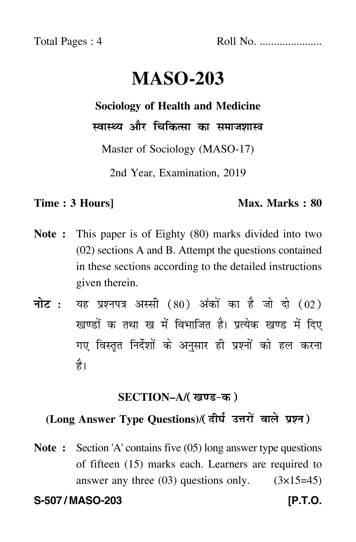Total Pages : 4 Roll No. ......................

# **MASO-203**

## **Sociology of Health and Medicine**

स्वास्थ्य और चिकित्सा का समाजशास्त्र

Master of Sociology (MASO-17)

2nd Year, Examination, 2019

## **Time : 3 Hours]** Max. Marks : 80

- **Note :** This paper is of Eighty (80) marks divided into two (02) sections A and B. Attempt the questions contained in these sections according to the detailed instructions given therein.
- नोट : यह प्रश्नपत्र अस्सी (80) अंकों का है जो दो (02) खण्डों क तथा ख में विभाजित है। प्रत्येक खण्ड में दिए गए विस्तृत निर्देशों के अनुसार ही प्रश्नों को हल करन<mark>ा</mark> है।

## **SECTION–A/**

## (Long Answer Type Questions)/( दीर्घ उत्तरों वाले प्रश्न )

**Note :** Section 'A' contains five (05) long answer type questions of fifteen (15) marks each. Learners are required to answer any three  $(03)$  questions only.  $(3\times15=45)$ 

**S-507 / MASO-203 [P.T.O.**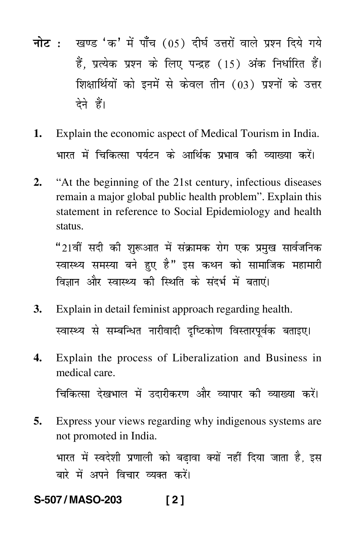- <mark>नोट</mark> : खण्ड 'क' में पाँच (05) दीर्घ उत्तरों वाले प्रश्न दिये गये हैं, प्रत्येक प्रश्न के लिए पन्द्रह (15) अंक निर्धारित हैं। शिक्षार्थियों को इनमें से केवल तीन (03) प्रश्नों के उत्तर देने हैं।
- **1.** Explain the economic aspect of Medical Tourism in India. भारत में चिकित्सा पर्यटन के आर्थिक प्रभाव की व्याख्या करें। --
- **2.** "At the beginning of the 21st century, infectious diseases remain a major global public health problem". Explain this statement in reference to Social Epidemiology and health status.

"21वीं सदी की शुरूआत में संक्रामक रोग एक प्रमुख सार्वजनिक स्वास्थ्य समस्या बने हुए है" इस कथन को सामाजिक महामारी विज्ञान और स्वास्थ्य की स्थिति के संदर्भ में बताएं।

- **3.** Explain in detail feminist approach regarding health. स्वास्थ्य से सम्बन्धित नारीवादी दृष्टिकोण विस्तारपूर्वक बताइए।
- **4.** Explain the process of Liberalization and Business in medical care.

चिकित्सा देखभाल में उदारीकरण और व्यापार की व्याख्या करें। -

**5.** Express your views regarding why indigenous systems are not promoted in India.

भारत में स्वदेशी प्रणाली को बढ़ावा क्यों नहीं दिया जाता है, इस --बारे में अपने विचार व्यक्त करें। -

## **S-507 / MASO-203 [ 2 ]**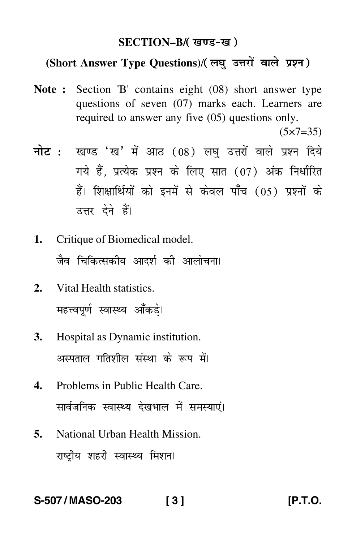### **SECTION–B/**

## (Short Answer Type Questions)/( लघु उत्तरों वाले प्रश्न)

**Note :** Section 'B' contains eight (08) short answer type questions of seven (07) marks each. Learners are required to answer any five (05) questions only.

 $(5 \times 7 = 35)$ 

- <mark>नोट</mark> : खण्ड 'ख' में आठ (08) लघु उत्तरों वाले प्रश्न दिये गये हैं, प्रत्येक प्रश्न के लिए सात (07) अंक निर्धारित हैं। शिक्षार्थियों को इनमें से केवल पाँच (05) प्रश्नों के उत्तर देने हैं।
- **1.** Critique of Biomedical model. जैव चिकित्सकीय आदर्श की आलोचना।
- **2.** Vital Health statistics. महत्त्वपूर्ण स्वास्थ्य आँकड़े।
- **3.** Hospital as Dynamic institution. अस्पताल गतिशील संस्था के रूप में। -
- **4.** Problems in Public Health Care. सार्वजनिक स्वास्थ्य देखभाल में समस्याएं। -
- **5.** National Urban Health Mission. राष्ट्रीय शहरी स्वास्थ्य मिशन<mark>।</mark>

## **S-507 / MASO-203 [ 3 ] [P.T.O.**